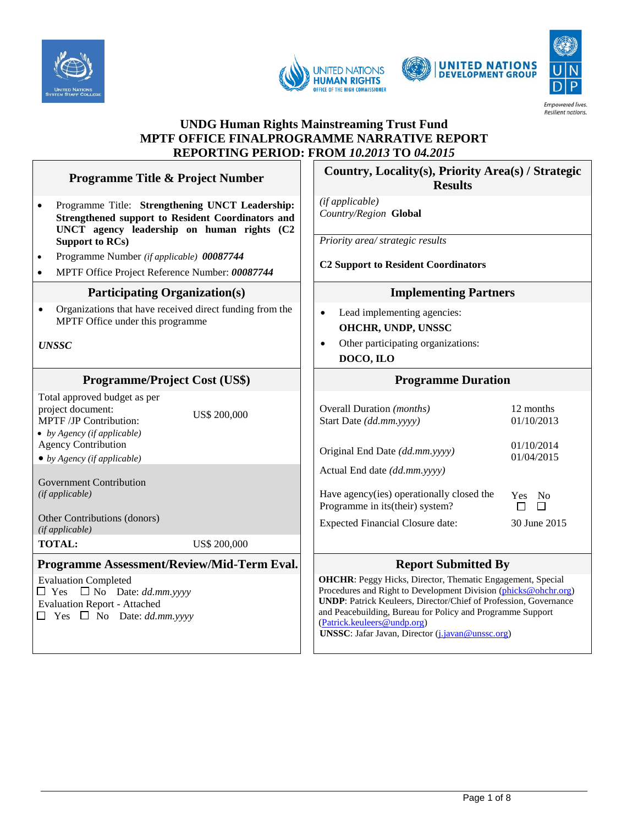







## **UNDG Human Rights Mainstreaming Trust Fund MPTF OFFICE FINALPROGRAMME NARRATIVE REPORT REPORTING PERIOD: FROM** *10.2013* **TO** *04.2015*

- Programme Title: **Strengthening UNCT Leadership: Strengthened support to Resident Coordinators and UNCT agency leadership on human rights (C2 Support to RCs)**
- Programme Number *(if applicable) 00087744*
- MPTF Office Project Reference Number: *00087744*

#### **Participating Organization(s) Implementing Partners**

• Organizations that have received direct funding from the MPTF Office under this programme

*UNSSC*

#### **Programme/Project Cost (US\$) Programme Duration**

Total approved budget as per project document: MPTF /JP Contribution: *by Agency (if applicable)*

**TOTAL:** US\$ 200,000

## **Programme Assessment/Review/Mid-Term Eval.** Report Submitted By

Evaluation Completed  $\Box$  Yes  $\Box$  No Date: *dd.mm.yyyy* Evaluation Report - Attached  $\Box$  Yes  $\Box$  No Date: *dd.mm.yyyy* 

#### **Programme Title & Project Number**  $\begin{bmatrix} \cdot & \cdot & \cdot \\ \cdot & \cdot & \cdot \\ \cdot & \cdot & \cdot \\ \cdot & \cdot & \cdot \\ \cdot & \cdot & \cdot \\ \cdot & \cdot & \cdot \\ \cdot & \cdot & \cdot \\ \cdot & \cdot & \cdot \\ \cdot & \cdot & \cdot \\ \cdot & \cdot & \cdot \\ \cdot & \cdot & \cdot \\ \cdot & \cdot & \cdot \\ \cdot & \cdot & \cdot \\ \cdot & \cdot & \cdot \\ \cdot & \cdot & \cdot \\ \cdot & \cdot & \cdot \\ \cdot & \cdot & \cdot \\ \cdot & \cdot & \cdot \\ \cdot & \cdot & \cdot \\ \cdot & \cdot & \cdot \\$ **Results**

*(if applicable) Country/Region* **Global**

*Priority area/ strategic results* 

**C2 Support to Resident Coordinators**

- Lead implementing agencies: **OHCHR, UNDP, UNSSC**
- Other participating organizations: **DOCO, ILO**

| TURI approved budget as per<br>project document:<br><b>MPTF/JP Contribution:</b><br>• by Agency (if applicable) | US\$ 200,000 | <b>Overall Duration</b> <i>(months)</i><br>Start Date (dd.mm.yyyy) | 12 months<br>01/10/2013 |
|-----------------------------------------------------------------------------------------------------------------|--------------|--------------------------------------------------------------------|-------------------------|
| <b>Agency Contribution</b>                                                                                      |              | Original End Date (dd.mm.yyyy)                                     | 01/10/2014              |
| $\bullet$ by Agency (if applicable)                                                                             |              |                                                                    | 01/04/2015              |
|                                                                                                                 |              | Actual End date <i>(dd.mm.yyyy)</i>                                |                         |
| Government Contribution                                                                                         |              |                                                                    |                         |
| (if applicable)                                                                                                 |              | Have agency (ies) operationally closed the                         | Yes No                  |
|                                                                                                                 |              | Programme in its (their) system?                                   | $\Box$                  |
| <b>Other Contributions (donors)</b><br>(if applicable)                                                          |              | <b>Expected Financial Closure date:</b>                            | 30 June 2015            |
|                                                                                                                 |              |                                                                    |                         |

**OHCHR**: Peggy Hicks, Director, Thematic Engagement, Special Procedures and Right to Development Division [\(phicks@ohchr.org\)](mailto:phicks@ohchr.org) **UNDP**: Patrick Keuleers, Director/Chief of Profession, Governance and Peacebuilding, Bureau for Policy and Programme Support [\(Patrick.keuleers@undp.org\)](mailto:Patrick.keuleers@undp.org) **UNSSC**: Jafar Javan, Director (*j.javan@unssc.org*)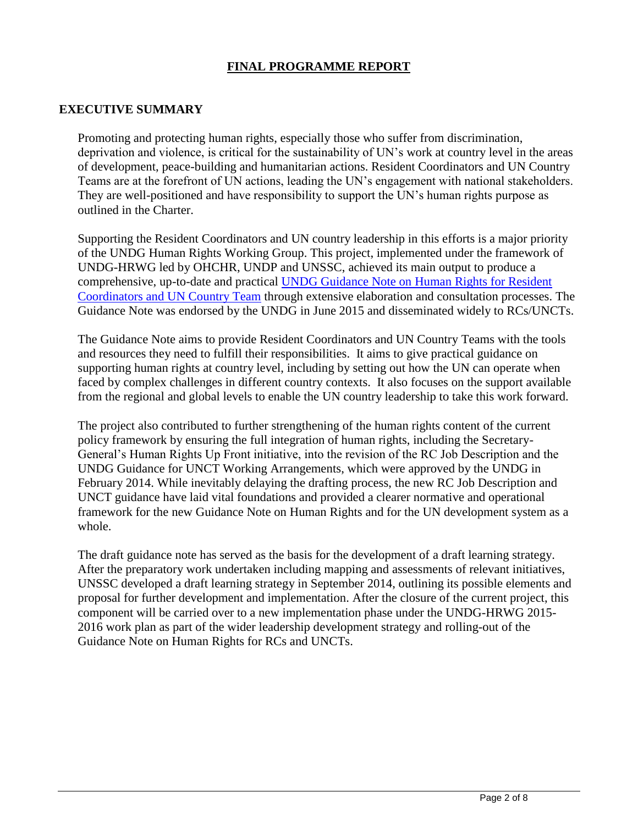# **FINAL PROGRAMME REPORT**

## **EXECUTIVE SUMMARY**

Promoting and protecting human rights, especially those who suffer from discrimination, deprivation and violence, is critical for the sustainability of UN's work at country level in the areas of development, peace-building and humanitarian actions. Resident Coordinators and UN Country Teams are at the forefront of UN actions, leading the UN's engagement with national stakeholders. They are well-positioned and have responsibility to support the UN's human rights purpose as outlined in the Charter.

Supporting the Resident Coordinators and UN country leadership in this efforts is a major priority of the UNDG Human Rights Working Group. This project, implemented under the framework of UNDG-HRWG led by OHCHR, UNDP and UNSSC, achieved its main output to produce a comprehensive, up-to-date and practical [UNDG Guidance Note on Human Rights for Resident](https://undg.org/wp-content/uploads/2015/12/UNDG-Guidance-Note-on-Human-Rights-for-RCs-and-UNCTs-final.pdf)  [Coordinators and UN Country Team](https://undg.org/wp-content/uploads/2015/12/UNDG-Guidance-Note-on-Human-Rights-for-RCs-and-UNCTs-final.pdf) through extensive elaboration and consultation processes. The Guidance Note was endorsed by the UNDG in June 2015 and disseminated widely to RCs/UNCTs.

The Guidance Note aims to provide Resident Coordinators and UN Country Teams with the tools and resources they need to fulfill their responsibilities. It aims to give practical guidance on supporting human rights at country level, including by setting out how the UN can operate when faced by complex challenges in different country contexts. It also focuses on the support available from the regional and global levels to enable the UN country leadership to take this work forward.

The project also contributed to further strengthening of the human rights content of the current policy framework by ensuring the full integration of human rights, including the Secretary-General's Human Rights Up Front initiative, into the revision of the RC Job Description and the UNDG Guidance for UNCT Working Arrangements, which were approved by the UNDG in February 2014. While inevitably delaying the drafting process, the new RC Job Description and UNCT guidance have laid vital foundations and provided a clearer normative and operational framework for the new Guidance Note on Human Rights and for the UN development system as a whole.

The draft guidance note has served as the basis for the development of a draft learning strategy. After the preparatory work undertaken including mapping and assessments of relevant initiatives, UNSSC developed a draft learning strategy in September 2014, outlining its possible elements and proposal for further development and implementation. After the closure of the current project, this component will be carried over to a new implementation phase under the UNDG-HRWG 2015- 2016 work plan as part of the wider leadership development strategy and rolling-out of the Guidance Note on Human Rights for RCs and UNCTs.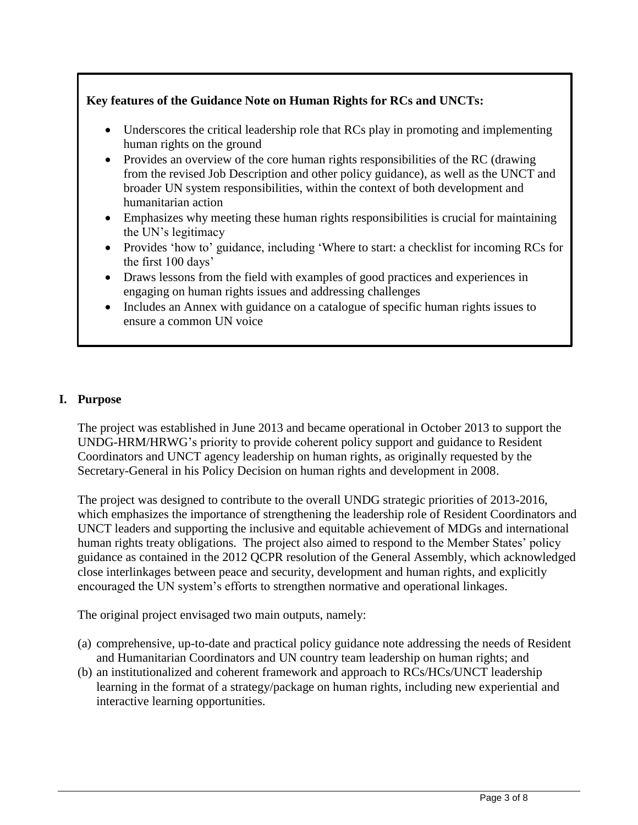# **Key features of the Guidance Note on Human Rights for RCs and UNCTs:**

- Underscores the critical leadership role that RCs play in promoting and implementing human rights on the ground
- Provides an overview of the core human rights responsibilities of the RC (drawing from the revised Job Description and other policy guidance), as well as the UNCT and broader UN system responsibilities, within the context of both development and humanitarian action
- Emphasizes why meeting these human rights responsibilities is crucial for maintaining the UN's legitimacy
- Provides 'how to' guidance, including 'Where to start: a checklist for incoming RCs for the first 100 days'
- Draws lessons from the field with examples of good practices and experiences in engaging on human rights issues and addressing challenges
- Includes an Annex with guidance on a catalogue of specific human rights issues to ensure a common UN voice

# **I. Purpose**

The project was established in June 2013 and became operational in October 2013 to support the UNDG-HRM/HRWG's priority to provide coherent policy support and guidance to Resident Coordinators and UNCT agency leadership on human rights, as originally requested by the Secretary-General in his Policy Decision on human rights and development in 2008.

The project was designed to contribute to the overall UNDG strategic priorities of 2013-2016, which emphasizes the importance of strengthening the leadership role of Resident Coordinators and UNCT leaders and supporting the inclusive and equitable achievement of MDGs and international human rights treaty obligations. The project also aimed to respond to the Member States' policy guidance as contained in the 2012 QCPR resolution of the General Assembly, which acknowledged close interlinkages between peace and security, development and human rights, and explicitly encouraged the UN system's efforts to strengthen normative and operational linkages.

The original project envisaged two main outputs, namely:

- (a) comprehensive, up-to-date and practical policy guidance note addressing the needs of Resident and Humanitarian Coordinators and UN country team leadership on human rights; and
- (b) an institutionalized and coherent framework and approach to RCs/HCs/UNCT leadership learning in the format of a strategy/package on human rights, including new experiential and interactive learning opportunities.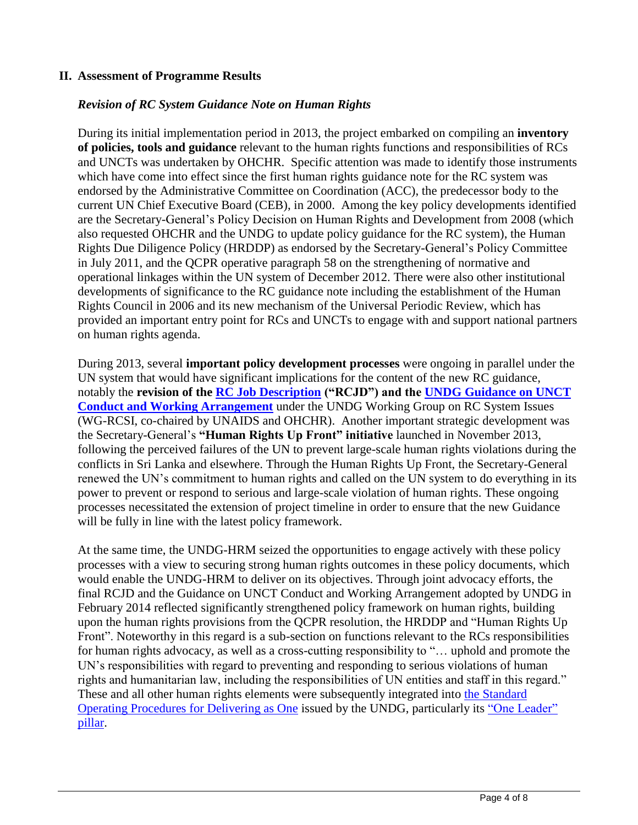## **II. Assessment of Programme Results**

## *Revision of RC System Guidance Note on Human Rights*

During its initial implementation period in 2013, the project embarked on compiling an **inventory of policies, tools and guidance** relevant to the human rights functions and responsibilities of RCs and UNCTs was undertaken by OHCHR. Specific attention was made to identify those instruments which have come into effect since the first human rights guidance note for the RC system was endorsed by the Administrative Committee on Coordination (ACC), the predecessor body to the current UN Chief Executive Board (CEB), in 2000. Among the key policy developments identified are the Secretary-General's Policy Decision on Human Rights and Development from 2008 (which also requested OHCHR and the UNDG to update policy guidance for the RC system), the Human Rights Due Diligence Policy (HRDDP) as endorsed by the Secretary-General's Policy Committee in July 2011, and the QCPR operative paragraph 58 on the strengthening of normative and operational linkages within the UN system of December 2012. There were also other institutional developments of significance to the RC guidance note including the establishment of the Human Rights Council in 2006 and its new mechanism of the Universal Periodic Review, which has provided an important entry point for RCs and UNCTs to engage with and support national partners on human rights agenda.

During 2013, several **important policy development processes** were ongoing in parallel under the UN system that would have significant implications for the content of the new RC guidance, notably the **revision of the [RC Job Description](https://undg.org/wp-content/uploads/2015/01/APPROVED-RC-Job-Descriptions_Feb_2014.pdf) ("RCJD") and the [UNDG Guidance on UNCT](https://undg.org/wp-content/uploads/2015/01/Approved-Guidance-Note-on-UNCT-Conduct-and-Working-Arrangements-Feb_2014.pdf)  [Conduct and Working Arrangement](https://undg.org/wp-content/uploads/2015/01/Approved-Guidance-Note-on-UNCT-Conduct-and-Working-Arrangements-Feb_2014.pdf)** under the UNDG Working Group on RC System Issues (WG-RCSI, co-chaired by UNAIDS and OHCHR). Another important strategic development was the Secretary-General's **"Human Rights Up Front" initiative** launched in November 2013, following the perceived failures of the UN to prevent large-scale human rights violations during the conflicts in Sri Lanka and elsewhere. Through the Human Rights Up Front, the Secretary-General renewed the UN's commitment to human rights and called on the UN system to do everything in its power to prevent or respond to serious and large-scale violation of human rights. These ongoing processes necessitated the extension of project timeline in order to ensure that the new Guidance will be fully in line with the latest policy framework.

At the same time, the UNDG-HRM seized the opportunities to engage actively with these policy processes with a view to securing strong human rights outcomes in these policy documents, which would enable the UNDG-HRM to deliver on its objectives. Through joint advocacy efforts, the final RCJD and the Guidance on UNCT Conduct and Working Arrangement adopted by UNDG in February 2014 reflected significantly strengthened policy framework on human rights, building upon the human rights provisions from the QCPR resolution, the HRDDP and "Human Rights Up Front". Noteworthy in this regard is a sub-section on functions relevant to the RCs responsibilities for human rights advocacy, as well as a cross-cutting responsibility to "… uphold and promote the UN's responsibilities with regard to preventing and responding to serious violations of human rights and humanitarian law, including the responsibilities of UN entities and staff in this regard." These and all other human rights elements were subsequently integrated into [the Standard](https://undg.org/wp-content/uploads/2014/06/SOPs-for-Countries-Adopting-the-Delivering-as-one-Approach-August-20141.pdf)  [Operating Procedures for Delivering as One](https://undg.org/wp-content/uploads/2014/06/SOPs-for-Countries-Adopting-the-Delivering-as-one-Approach-August-20141.pdf) issued by the UNDG, particularly its ["One Leader"](https://undg.org/home/guidance-policies/delivering-as-one/standard-operating-procedures-non-pilots/joint-leadership-management/)  [pillar.](https://undg.org/home/guidance-policies/delivering-as-one/standard-operating-procedures-non-pilots/joint-leadership-management/)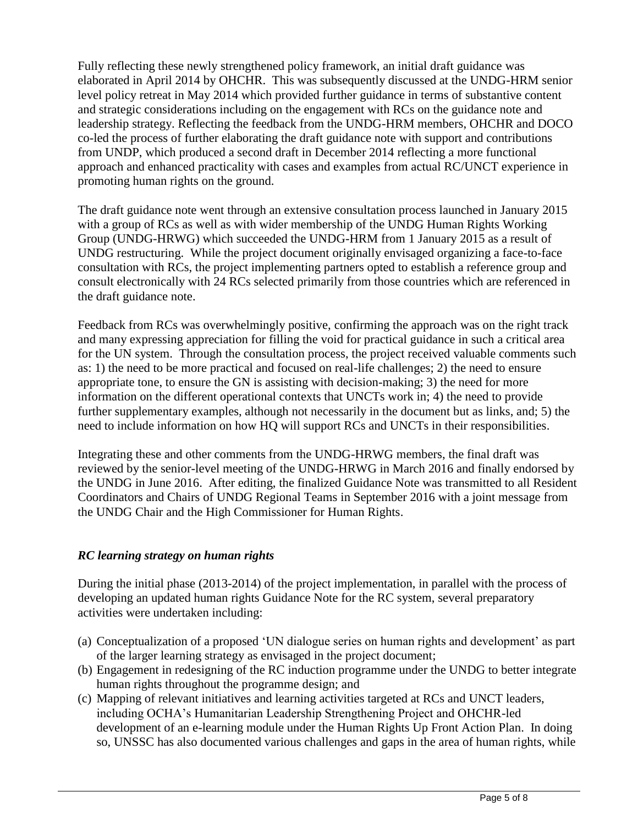Fully reflecting these newly strengthened policy framework, an initial draft guidance was elaborated in April 2014 by OHCHR. This was subsequently discussed at the UNDG-HRM senior level policy retreat in May 2014 which provided further guidance in terms of substantive content and strategic considerations including on the engagement with RCs on the guidance note and leadership strategy. Reflecting the feedback from the UNDG-HRM members, OHCHR and DOCO co-led the process of further elaborating the draft guidance note with support and contributions from UNDP, which produced a second draft in December 2014 reflecting a more functional approach and enhanced practicality with cases and examples from actual RC/UNCT experience in promoting human rights on the ground.

The draft guidance note went through an extensive consultation process launched in January 2015 with a group of RCs as well as with wider membership of the UNDG Human Rights Working Group (UNDG-HRWG) which succeeded the UNDG-HRM from 1 January 2015 as a result of UNDG restructuring. While the project document originally envisaged organizing a face-to-face consultation with RCs, the project implementing partners opted to establish a reference group and consult electronically with 24 RCs selected primarily from those countries which are referenced in the draft guidance note.

Feedback from RCs was overwhelmingly positive, confirming the approach was on the right track and many expressing appreciation for filling the void for practical guidance in such a critical area for the UN system. Through the consultation process, the project received valuable comments such as: 1) the need to be more practical and focused on real-life challenges; 2) the need to ensure appropriate tone, to ensure the GN is assisting with decision-making; 3) the need for more information on the different operational contexts that UNCTs work in; 4) the need to provide further supplementary examples, although not necessarily in the document but as links, and; 5) the need to include information on how HQ will support RCs and UNCTs in their responsibilities.

Integrating these and other comments from the UNDG-HRWG members, the final draft was reviewed by the senior-level meeting of the UNDG-HRWG in March 2016 and finally endorsed by the UNDG in June 2016. After editing, the finalized Guidance Note was transmitted to all Resident Coordinators and Chairs of UNDG Regional Teams in September 2016 with a joint message from the UNDG Chair and the High Commissioner for Human Rights.

## *RC learning strategy on human rights*

During the initial phase (2013-2014) of the project implementation, in parallel with the process of developing an updated human rights Guidance Note for the RC system, several preparatory activities were undertaken including:

- (a) Conceptualization of a proposed 'UN dialogue series on human rights and development' as part of the larger learning strategy as envisaged in the project document;
- (b) Engagement in redesigning of the RC induction programme under the UNDG to better integrate human rights throughout the programme design; and
- (c) Mapping of relevant initiatives and learning activities targeted at RCs and UNCT leaders, including OCHA's Humanitarian Leadership Strengthening Project and OHCHR-led development of an e-learning module under the Human Rights Up Front Action Plan. In doing so, UNSSC has also documented various challenges and gaps in the area of human rights, while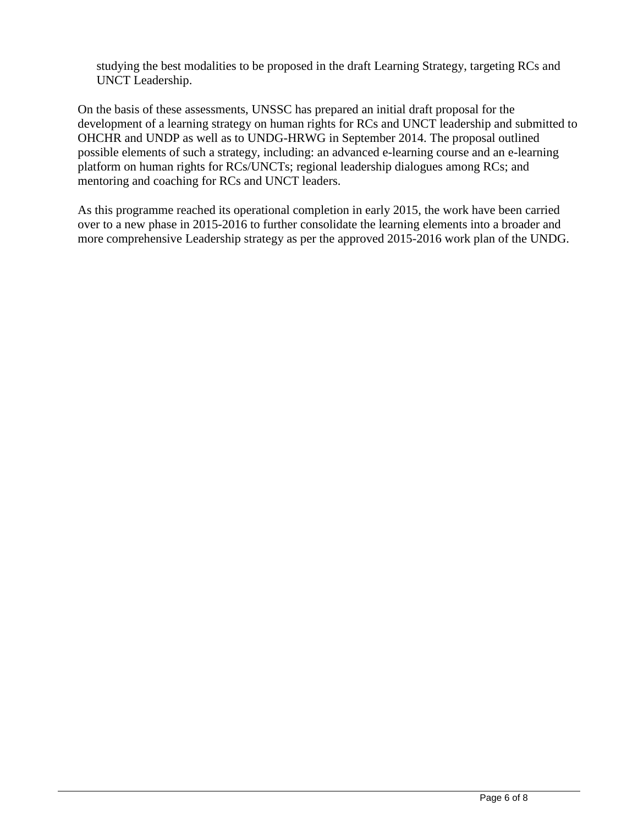studying the best modalities to be proposed in the draft Learning Strategy, targeting RCs and UNCT Leadership.

On the basis of these assessments, UNSSC has prepared an initial draft proposal for the development of a learning strategy on human rights for RCs and UNCT leadership and submitted to OHCHR and UNDP as well as to UNDG-HRWG in September 2014. The proposal outlined possible elements of such a strategy, including: an advanced e-learning course and an e-learning platform on human rights for RCs/UNCTs; regional leadership dialogues among RCs; and mentoring and coaching for RCs and UNCT leaders.

As this programme reached its operational completion in early 2015, the work have been carried over to a new phase in 2015-2016 to further consolidate the learning elements into a broader and more comprehensive Leadership strategy as per the approved 2015-2016 work plan of the UNDG.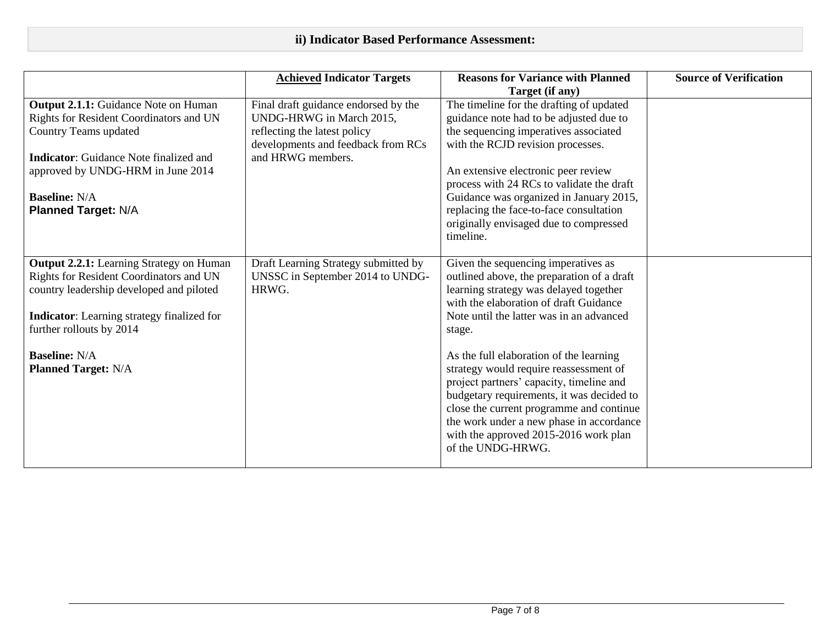|                                                                                                                                                                                                                                                                               | <b>Achieved Indicator Targets</b>                                                                                                                           | <b>Reasons for Variance with Planned</b><br>Target (if any)                                                                                                                                                                                                                                                                                                                                                                                                                                                                                                     | <b>Source of Verification</b> |
|-------------------------------------------------------------------------------------------------------------------------------------------------------------------------------------------------------------------------------------------------------------------------------|-------------------------------------------------------------------------------------------------------------------------------------------------------------|-----------------------------------------------------------------------------------------------------------------------------------------------------------------------------------------------------------------------------------------------------------------------------------------------------------------------------------------------------------------------------------------------------------------------------------------------------------------------------------------------------------------------------------------------------------------|-------------------------------|
| <b>Output 2.1.1:</b> Guidance Note on Human<br>Rights for Resident Coordinators and UN<br>Country Teams updated<br><b>Indicator:</b> Guidance Note finalized and<br>approved by UNDG-HRM in June 2014<br><b>Baseline: N/A</b><br><b>Planned Target: N/A</b>                   | Final draft guidance endorsed by the<br>UNDG-HRWG in March 2015,<br>reflecting the latest policy<br>developments and feedback from RCs<br>and HRWG members. | The timeline for the drafting of updated<br>guidance note had to be adjusted due to<br>the sequencing imperatives associated<br>with the RCJD revision processes.<br>An extensive electronic peer review<br>process with 24 RCs to validate the draft<br>Guidance was organized in January 2015,<br>replacing the face-to-face consultation<br>originally envisaged due to compressed<br>timeline.                                                                                                                                                              |                               |
| <b>Output 2.2.1:</b> Learning Strategy on Human<br>Rights for Resident Coordinators and UN<br>country leadership developed and piloted<br><b>Indicator:</b> Learning strategy finalized for<br>further rollouts by 2014<br><b>Baseline: N/A</b><br><b>Planned Target: N/A</b> | Draft Learning Strategy submitted by<br>UNSSC in September 2014 to UNDG-<br>HRWG.                                                                           | Given the sequencing imperatives as<br>outlined above, the preparation of a draft<br>learning strategy was delayed together<br>with the elaboration of draft Guidance<br>Note until the latter was in an advanced<br>stage.<br>As the full elaboration of the learning<br>strategy would require reassessment of<br>project partners' capacity, timeline and<br>budgetary requirements, it was decided to<br>close the current programme and continue<br>the work under a new phase in accordance<br>with the approved 2015-2016 work plan<br>of the UNDG-HRWG. |                               |